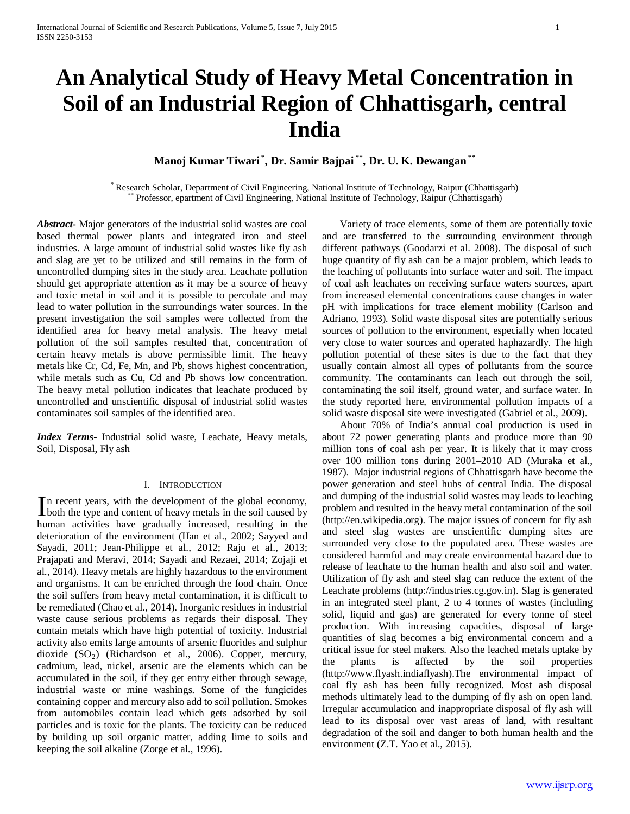# **An Analytical Study of Heavy Metal Concentration in Soil of an Industrial Region of Chhattisgarh, central India**

## **Manoj Kumar Tiwari \* , Dr. Samir Bajpai \*\*, Dr. U. K. Dewangan \*\***

\* Research Scholar, Department of Civil Engineering, National Institute of Technology, Raipur (Chhattisgarh) \*\* Professor, epartment of Civil Engineering, National Institute of Technology, Raipur (Chhattisgarh)

*Abstract***-** Major generators of the industrial solid wastes are coal based thermal power plants and integrated iron and steel industries. A large amount of industrial solid wastes like fly ash and slag are yet to be utilized and still remains in the form of uncontrolled dumping sites in the study area. Leachate pollution should get appropriate attention as it may be a source of heavy and toxic metal in soil and it is possible to percolate and may lead to water pollution in the surroundings water sources. In the present investigation the soil samples were collected from the identified area for heavy metal analysis. The heavy metal pollution of the soil samples resulted that, concentration of certain heavy metals is above permissible limit. The heavy metals like Cr, Cd, Fe, Mn, and Pb, shows highest concentration, while metals such as Cu, Cd and Pb shows low concentration. The heavy metal pollution indicates that leachate produced by uncontrolled and unscientific disposal of industrial solid wastes contaminates soil samples of the identified area.

*Index Terms*- Industrial solid waste, Leachate, Heavy metals, Soil, Disposal, Fly ash

## I. INTRODUCTION

n recent years, with the development of the global economy, In recent years, with the development of the global economy,<br>both the type and content of heavy metals in the soil caused by human activities have gradually increased, resulting in the deterioration of the environment (Han et al., 2002; Sayyed and Sayadi, 2011; Jean-Philippe et al., 2012; Raju et al., 2013; Prajapati and Meravi, 2014; Sayadi and Rezaei, 2014; Zojaji et al., 2014). Heavy metals are highly hazardous to the environment and organisms. It can be enriched through the food chain. Once the soil suffers from heavy metal contamination, it is difficult to be remediated (Chao et al., 2014). Inorganic residues in industrial waste cause serious problems as regards their disposal. They contain metals which have high potential of toxicity. Industrial activity also emits large amounts of arsenic fluorides and sulphur dioxide  $(SO<sub>2</sub>)$  (Richardson et al., 2006). Copper, mercury, cadmium, lead, nickel, arsenic are the elements which can be accumulated in the soil, if they get entry either through sewage, industrial waste or mine washings. Some of the fungicides containing copper and mercury also add to soil pollution. Smokes from automobiles contain lead which gets adsorbed by soil particles and is toxic for the plants. The toxicity can be reduced by building up soil organic matter, adding lime to soils and keeping the soil alkaline (Zorge et al., 1996).

 Variety of trace elements, some of them are potentially toxic and are transferred to the surrounding environment through different pathways (Goodarzi et al. 2008). The disposal of such huge quantity of fly ash can be a major problem, which leads to the leaching of pollutants into surface water and soil. The impact of coal ash leachates on receiving surface waters sources, apart from increased elemental concentrations cause changes in water pH with implications for trace element mobility (Carlson and Adriano, 1993). Solid waste disposal sites are potentially serious sources of pollution to the environment, especially when located very close to water sources and operated haphazardly. The high pollution potential of these sites is due to the fact that they usually contain almost all types of pollutants from the source community. The contaminants can leach out through the soil, contaminating the soil itself, ground water, and surface water. In the study reported here, environmental pollution impacts of a solid waste disposal site were investigated (Gabriel et al., 2009).

 About 70% of India's annual coal production is used in about 72 power generating plants and produce more than 90 million tons of coal ash per year. It is likely that it may cross over 100 million tons during 2001–2010 AD (Muraka et al., 1987). Major industrial regions of Chhattisgarh have become the power generation and steel hubs of central India. The disposal and dumping of the industrial solid wastes may leads to leaching problem and resulted in the heavy metal contamination of the soil (http://en.wikipedia.org). The major issues of concern for fly ash and steel slag wastes are unscientific dumping sites are surrounded very close to the populated area. These wastes are considered harmful and may create environmental hazard due to release of leachate to the human health and also soil and water. Utilization of fly ash and steel slag can reduce the extent of the Leachate problems (http://industries.cg.gov.in). Slag is generated in an integrated steel plant, 2 to 4 tonnes of wastes (including solid, liquid and gas) are generated for every tonne of steel production. With increasing capacities, disposal of large quantities of slag becomes a big environmental concern and a critical issue for steel makers. Also the leached metals uptake by the plants is affected by the soil properties (http://www.flyash.indiaflyash).The environmental impact of coal fly ash has been fully recognized. Most ash disposal methods ultimately lead to the dumping of fly ash on open land. Irregular accumulation and inappropriate disposal of fly ash will lead to its disposal over vast areas of land, with resultant degradation of the soil and danger to both human health and the environment (Z.T. Yao et al., 2015).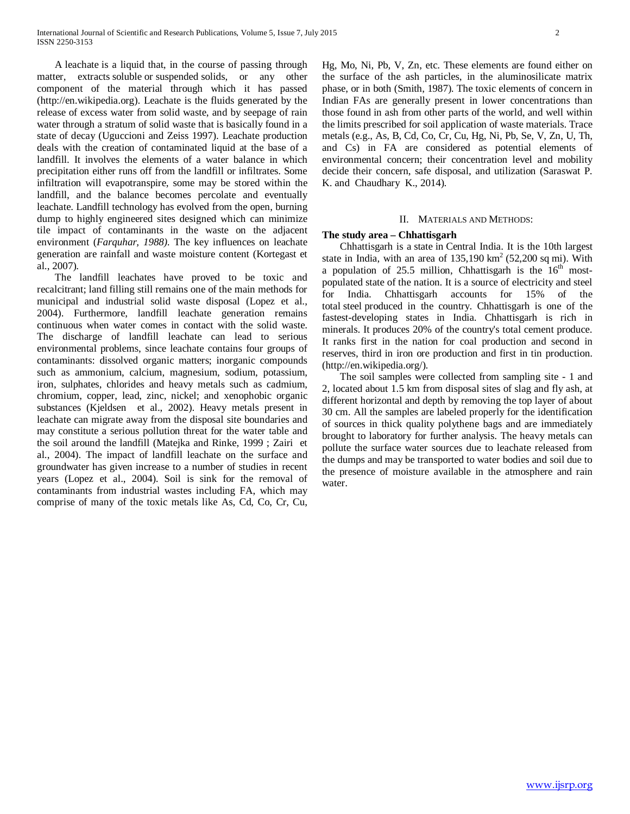A leachate is a liquid that, in the course of passing through matter, extracts soluble or suspended solids, or any other component of the material through which it has passed (http://en.wikipedia.org). Leachate is the fluids generated by the release of excess water from solid waste, and by seepage of rain water through a stratum of solid waste that is basically found in a state of decay (Uguccioni and Zeiss 1997). Leachate production deals with the creation of contaminated liquid at the base of a landfill. It involves the elements of a water balance in which precipitation either runs off from the landfill or infiltrates. Some infiltration will evapotranspire, some may be stored within the landfill, and the balance becomes percolate and eventually leachate. Landfill technology has evolved from the open, burning dump to highly engineered sites designed which can minimize tile impact of contaminants in the waste on the adjacent environment (*Farquhar, 1988)*. The key influences on leachate generation are rainfall and waste moisture content (Kortegast et al., 2007).

 The landfill leachates have proved to be toxic and recalcitrant; land filling still remains one of the main methods for municipal and industrial solid waste disposal (Lopez et al., 2004). Furthermore, landfill leachate generation remains continuous when water comes in contact with the solid waste. The discharge of landfill leachate can lead to serious environmental problems, since leachate contains four groups of contaminants: dissolved organic matters; inorganic compounds such as ammonium, calcium, magnesium, sodium, potassium, iron, sulphates, chlorides and heavy metals such as cadmium, chromium, copper, lead, zinc, nickel; and xenophobic organic substances (Kjeldsen et al., 2002). Heavy metals present in leachate can migrate away from the disposal site boundaries and may constitute a serious pollution threat for the water table and the soil around the landfill (Matejka and Rinke, 1999 ; Zairi et al., 2004). The impact of landfill leachate on the surface and groundwater has given increase to a number of studies in recent years (Lopez et al., 2004). Soil is sink for the removal of contaminants from industrial wastes including FA, which may comprise of many of the toxic metals like As, Cd, Co, Cr, Cu, Hg, Mo, Ni, Pb, V, Zn, etc. These elements are found either on the surface of the ash particles, in the aluminosilicate matrix phase, or in both (Smith, 1987). The toxic elements of concern in Indian FAs are generally present in lower concentrations than those found in ash from other parts of the world, and well within the limits prescribed for soil application of waste materials. Trace metals (e.g., As, B, Cd, Co, Cr, Cu, Hg, Ni, Pb, Se, V, Zn, U, Th, and Cs) in FA are considered as potential elements of environmental concern; their concentration level and mobility decide their concern, safe disposal, and utilization (Saraswat P. K. and Chaudhary K., 2014).

## II. MATERIALS AND METHODS:

#### **The study area – Chhattisgarh**

 Chhattisgarh is a state in Central India. It is the 10th largest state in India, with an area of  $135,190 \text{ km}^2$  (52,200 sq mi). With a population of 25.5 million, Chhattisgarh is the  $16<sup>th</sup>$  mostpopulated state of the nation. It is a source of electricity and steel for India. Chhattisgarh accounts for 15% of the total steel produced in the country. Chhattisgarh is one of the fastest-developing states in India. Chhattisgarh is rich in minerals. It produces 20% of the country's total cement produce. It ranks first in the nation for coal production and second in reserves, third in iron ore production and first in tin production. (http://en.wikipedia.org/).

 The soil samples were collected from sampling site - 1 and 2, located about 1.5 km from disposal sites of slag and fly ash, at different horizontal and depth by removing the top layer of about 30 cm. All the samples are labeled properly for the identification of sources in thick quality polythene bags and are immediately brought to laboratory for further analysis. The heavy metals can pollute the surface water sources due to leachate released from the dumps and may be transported to water bodies and soil due to the presence of moisture available in the atmosphere and rain water.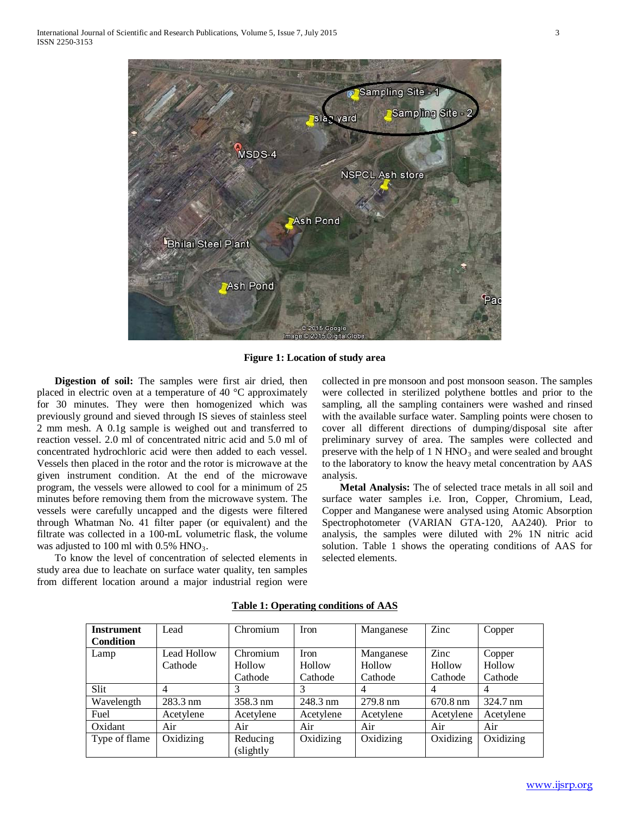

**Figure 1: Location of study area**

 **Digestion of soil:** The samples were first air dried, then placed in electric oven at a temperature of 40 °C approximately for 30 minutes. They were then homogenized which was previously ground and sieved through IS sieves of stainless steel 2 mm mesh. A 0.1g sample is weighed out and transferred to reaction vessel. 2.0 ml of concentrated nitric acid and 5.0 ml of concentrated hydrochloric acid were then added to each vessel. Vessels then placed in the rotor and the rotor is microwave at the given instrument condition. At the end of the microwave program, the vessels were allowed to cool for a minimum of 25 minutes before removing them from the microwave system. The vessels were carefully uncapped and the digests were filtered through Whatman No. 41 filter paper (or equivalent) and the filtrate was collected in a 100-mL volumetric flask, the volume was adjusted to 100 ml with  $0.5\%$  HNO<sub>3</sub>.

 To know the level of concentration of selected elements in study area due to leachate on surface water quality, ten samples from different location around a major industrial region were collected in pre monsoon and post monsoon season. The samples were collected in sterilized polythene bottles and prior to the sampling, all the sampling containers were washed and rinsed with the available surface water. Sampling points were chosen to cover all different directions of dumping/disposal site after preliminary survey of area. The samples were collected and preserve with the help of 1 N  $HNO<sub>3</sub>$  and were sealed and brought to the laboratory to know the heavy metal concentration by AAS analysis.

 **Metal Analysis:** The of selected trace metals in all soil and surface water samples i.e. Iron, Copper, Chromium, Lead, Copper and Manganese were analysed using Atomic Absorption Spectrophotometer (VARIAN GTA-120, AA240). Prior to analysis, the samples were diluted with 2% 1N nitric acid solution. Table 1 shows the operating conditions of AAS for selected elements.

| <b>Instrument</b> | Lead               | Chromium              | <b>Iron</b> | Manganese | Zinc           | Copper             |
|-------------------|--------------------|-----------------------|-------------|-----------|----------------|--------------------|
| <b>Condition</b>  |                    |                       |             |           |                |                    |
| Lamp              | Lead Hollow        | Chromium              | <b>Iron</b> | Manganese | Zinc           | Copper             |
|                   | Cathode            | Hollow                | Hollow      | Hollow    | Hollow         | Hollow             |
|                   |                    | Cathode               | Cathode     | Cathode   | Cathode        | Cathode            |
| Slit.             | 4                  | 3                     |             | 4         | $\overline{4}$ |                    |
| Wavelength        | $283.3 \text{ nm}$ | 358.3 nm              | 248.3 nm    | 279.8 nm  | 670.8 nm       | $324.7 \text{ nm}$ |
| Fuel              | Acetylene          | Acetylene             | Acetylene   | Acetylene | Acetylene      | Acetylene          |
| Oxidant           | Air                | Air                   | Air         | Air       | Air            | Air                |
| Type of flame     | Oxidizing          | Reducing<br>(slightly | Oxidizing   | Oxidizing | Oxidizing      | Oxidizing          |

**Table 1: Operating conditions of AAS**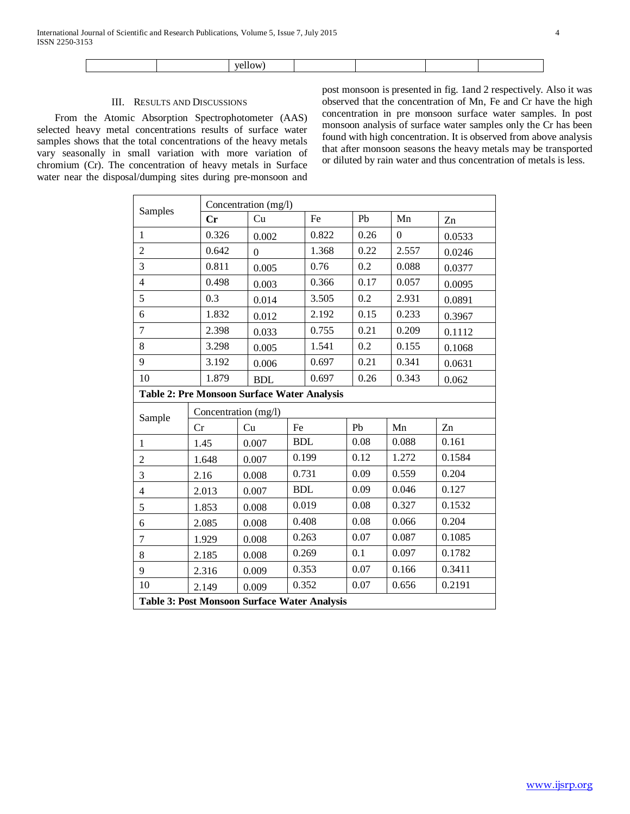## III. RESULTS AND DISCUSSIONS

 From the Atomic Absorption Spectrophotometer (AAS) selected heavy metal concentrations results of surface water samples shows that the total concentrations of the heavy metals vary seasonally in small variation with more variation of chromium (Cr). The concentration of heavy metals in Surface water near the disposal/dumping sites during pre-monsoon and post monsoon is presented in fig. 1and 2 respectively. Also it was observed that the concentration of Mn, Fe and Cr have the high concentration in pre monsoon surface water samples. In post monsoon analysis of surface water samples only the Cr has been found with high concentration. It is observed from above analysis that after monsoon seasons the heavy metals may be transported or diluted by rain water and thus concentration of metals is less.

| Samples              |                                                    | Concentration (mg/l) |            |      |          |        |  |  |
|----------------------|----------------------------------------------------|----------------------|------------|------|----------|--------|--|--|
|                      | Cr                                                 | Cu                   | Fe         | Pb   | Mn       | Zn     |  |  |
| $\mathbf{1}$         | 0.326                                              | 0.002                |            | 0.26 | $\Omega$ | 0.0533 |  |  |
| $\overline{2}$       | 0.642                                              | $\Omega$             | 1.368      | 0.22 | 2.557    | 0.0246 |  |  |
| 3                    | 0.811                                              | 0.005                | 0.76       | 0.2  | 0.088    | 0.0377 |  |  |
| $\overline{4}$       | 0.498                                              | 0.003                | 0.366      | 0.17 | 0.057    | 0.0095 |  |  |
| 5                    | 0.3                                                | 0.014                | 3.505      | 0.2  | 2.931    | 0.0891 |  |  |
| 6                    | 1.832                                              | 0.012                | 2.192      | 0.15 | 0.233    | 0.3967 |  |  |
| $\overline{7}$       | 2.398                                              | 0.033                | 0.755      | 0.21 | 0.209    | 0.1112 |  |  |
| 8                    | 3.298                                              | 0.005                | 1.541      | 0.2  | 0.155    | 0.1068 |  |  |
| 9                    | 3.192                                              | 0.006                | 0.697      | 0.21 | 0.341    | 0.0631 |  |  |
| 10                   | 1.879                                              | <b>BDL</b>           | 0.697      | 0.26 | 0.343    | 0.062  |  |  |
|                      | <b>Table 2: Pre Monsoon Surface Water Analysis</b> |                      |            |      |          |        |  |  |
| Concentration (mg/l) |                                                    |                      |            |      |          |        |  |  |
|                      |                                                    |                      |            |      |          |        |  |  |
| Sample               | Cr                                                 | Cu                   | Fe         | Pb   | Mn       | Zn     |  |  |
| $\mathbf{1}$         | 1.45                                               | 0.007                | <b>BDL</b> | 0.08 | 0.088    | 0.161  |  |  |
| $\overline{c}$       | 1.648                                              | 0.007                | 0.199      | 0.12 | 1.272    | 0.1584 |  |  |
| 3                    | 2.16                                               | 0.008                | 0.731      | 0.09 | 0.559    | 0.204  |  |  |
| $\overline{4}$       | 2.013                                              | 0.007                | <b>BDL</b> | 0.09 | 0.046    | 0.127  |  |  |
| 5                    | 1.853                                              | 0.008                | 0.019      | 0.08 | 0.327    | 0.1532 |  |  |
| 6                    | 2.085                                              | 0.008                | 0.408      | 0.08 | 0.066    | 0.204  |  |  |
| $\boldsymbol{7}$     | 1.929                                              | 0.008                | 0.263      | 0.07 | 0.087    | 0.1085 |  |  |
| 8                    | 2.185                                              | 0.008                | 0.269      | 0.1  | 0.097    | 0.1782 |  |  |
| 9                    | 2.316                                              | 0.009                | 0.353      | 0.07 | 0.166    | 0.3411 |  |  |
| 10                   | 2.149                                              | 0.009                | 0.352      | 0.07 | 0.656    | 0.2191 |  |  |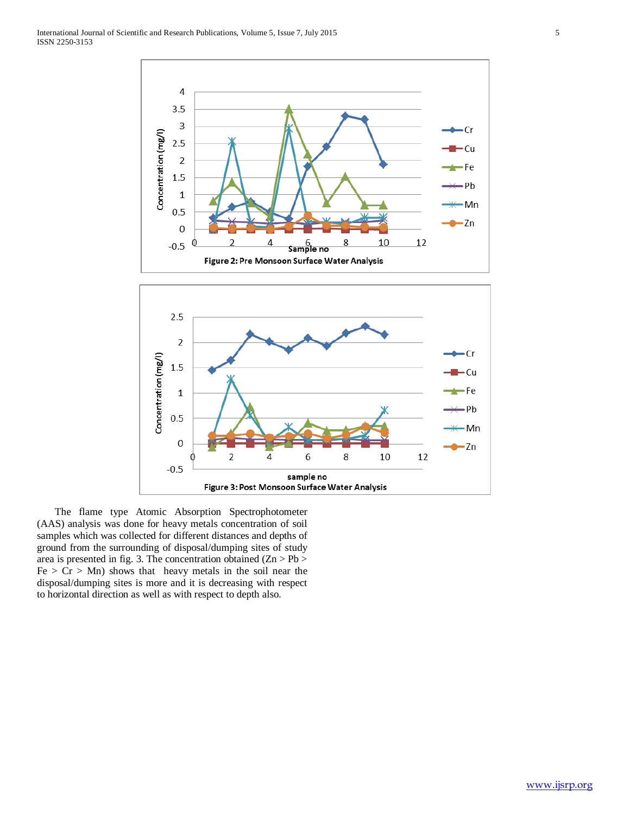



 The flame type Atomic Absorption Spectrophotometer (AAS) analysis was done for heavy metals concentration of soil samples which was collected for different distances and depths of ground from the surrounding of disposal/dumping sites of study area is presented in fig. 3. The concentration obtained  $(Zn > Pb >$  $Fe > Cr > Mn$ ) shows that heavy metals in the soil near the disposal/dumping sites is more and it is decreasing with respect to horizontal direction as well as with respect to depth also.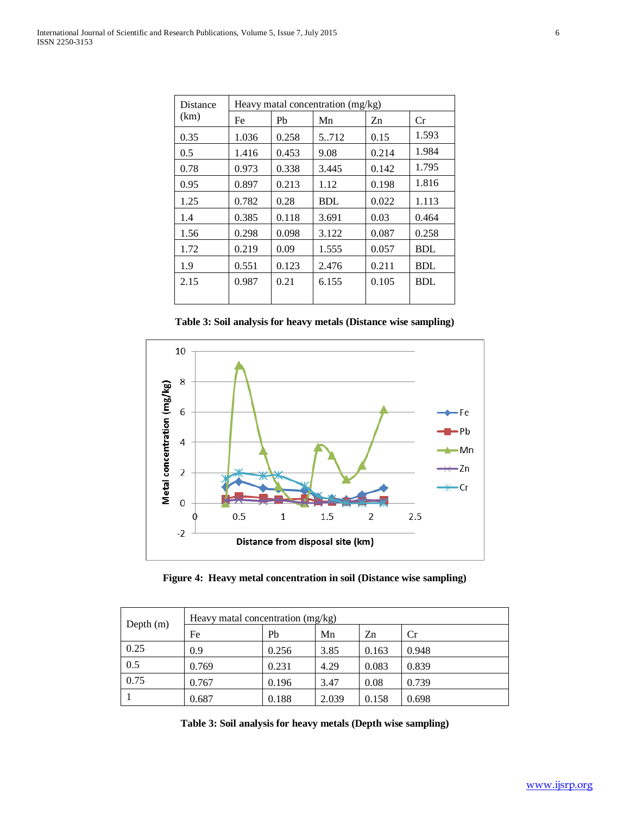| Distance | Heavy matal concentration $(mg/kg)$ |       |            |       |            |  |  |
|----------|-------------------------------------|-------|------------|-------|------------|--|--|
| (km)     | Fe                                  | Pb    | Mn         | Zn    | Cr         |  |  |
| 0.35     | 1.036                               | 0.258 | 5.712      | 0.15  | 1.593      |  |  |
| 0.5      | 1.416                               | 0.453 | 9.08       | 0.214 | 1.984      |  |  |
| 0.78     | 0.973                               | 0.338 | 3.445      | 0.142 | 1.795      |  |  |
| 0.95     | 0.897                               | 0.213 | 1.12       | 0.198 | 1.816      |  |  |
| 1.25     | 0.782                               | 0.28  | <b>BDL</b> | 0.022 | 1.113      |  |  |
| 1.4      | 0.385                               | 0.118 | 3.691      | 0.03  | 0.464      |  |  |
| 1.56     | 0.298                               | 0.098 | 3.122      | 0.087 | 0.258      |  |  |
| 1.72     | 0.219                               | 0.09  | 1.555      | 0.057 | <b>BDL</b> |  |  |
| 1.9      | 0.551                               | 0.123 | 2.476      | 0.211 | <b>BDL</b> |  |  |
| 2.15     | 0.987                               | 0.21  | 6.155      | 0.105 | BDL        |  |  |
|          |                                     |       |            |       |            |  |  |

**Table 3: Soil analysis for heavy metals (Distance wise sampling)**



**Figure 4: Heavy metal concentration in soil (Distance wise sampling)**

| Depth $(m)$ | Heavy matal concentration $(mg/kg)$ |       |       |       |       |  |
|-------------|-------------------------------------|-------|-------|-------|-------|--|
|             | Fe                                  | Pb    | Mn    | Zn    | Cr    |  |
| 0.25        | 0.9                                 | 0.256 | 3.85  | 0.163 | 0.948 |  |
| 0.5         | 0.769                               | 0.231 | 4.29  | 0.083 | 0.839 |  |
| 0.75        | 0.767                               | 0.196 | 3.47  | 0.08  | 0.739 |  |
|             | 0.687                               | 0.188 | 2.039 | 0.158 | 0.698 |  |

**Table 3: Soil analysis for heavy metals (Depth wise sampling)**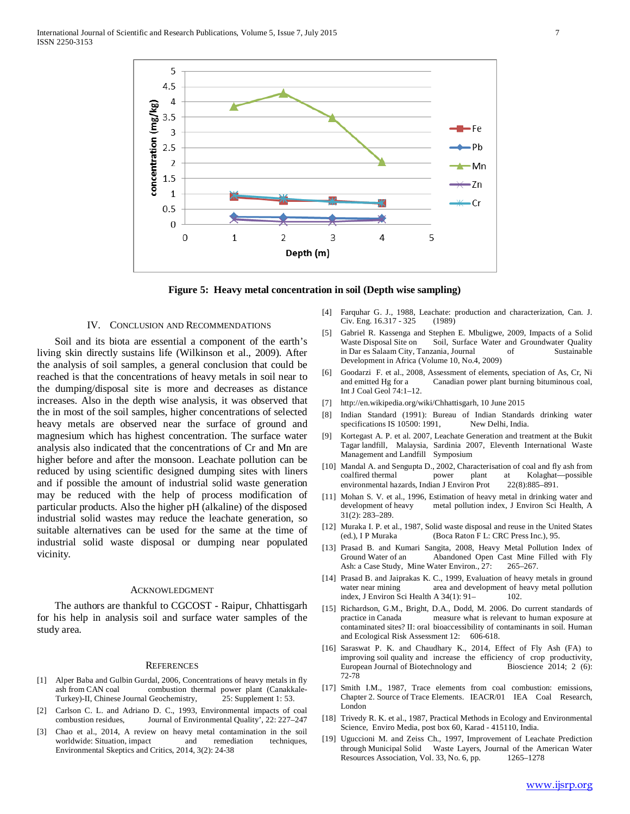

**Figure 5: Heavy metal concentration in soil (Depth wise sampling)**

#### IV. CONCLUSION AND RECOMMENDATIONS

 Soil and its biota are essential a component of the earth's living skin directly sustains life (Wilkinson et al., 2009). After the analysis of soil samples, a general conclusion that could be reached is that the concentrations of heavy metals in soil near to the dumping/disposal site is more and decreases as distance increases. Also in the depth wise analysis, it was observed that the in most of the soil samples, higher concentrations of selected heavy metals are observed near the surface of ground and magnesium which has highest concentration. The surface water analysis also indicated that the concentrations of Cr and Mn are higher before and after the monsoon. Leachate pollution can be reduced by using scientific designed dumping sites with liners and if possible the amount of industrial solid waste generation may be reduced with the help of process modification of particular products. Also the higher pH (alkaline) of the disposed industrial solid wastes may reduce the leachate generation, so suitable alternatives can be used for the same at the time of industrial solid waste disposal or dumping near populated vicinity.

#### ACKNOWLEDGMENT

 The authors are thankful to CGCOST - Raipur, Chhattisgarh for his help in analysis soil and surface water samples of the study area.

#### **REFERENCES**

- [1] Alper Baba and Gulbin Gurdal, 2006, Concentrations of heavy metals in fly ash from CAN coal combustion thermal power plant (Canakkale-Turkey)-II, Chinese Journal Geochemistry, 25: Supplement 1: 53.
- [2] Carlson C. L. and Adriano D. C., 1993, Environmental impacts of coal combustion residues, Journal of Environmental Quality', 22: 227–247
- [3] Chao et al., 2014, A review on heavy metal contamination in the soil worldwide: Situation, impact and remediation techniques, Environmental Skeptics and Critics, 2014, 3(2): 24-38
- [4] Farquhar G. J., 1988, Leachate: production and characterization, Can. J. Civ. Eng. 16.317 - 325 (1989)
- [5] Gabriel R. Kassenga and Stephen E. Mbuligwe, 2009, Impacts of a Solid Waste Disposal Site on Soil, Surface Water and Groundwater Quality in Dar es Salaam City, Tanzania, Journal of Sustainable Development in Africa (Volume 10, No.4, 2009)
- [6] Goodarzi F. et al., 2008, Assessment of elements, speciation of As, Cr, Ni and emitted Hg for a Canadian power plant burning bituminous coal, Int J Coal Geol 74:1–12.
- [7] http://en.wikipedia.org/wiki/Chhattisgarh, 10 June 2015
- [8] Indian Standard (1991): Bureau of Indian Standards drinking water specifications IS 10500: 1991, New Delhi, India.
- [9] Kortegast A. P. et al. 2007, Leachate Generation and treatment at the Bukit Tagar landfill, Malaysia, Sardinia 2007, Eleventh International Waste Management and Landfill Symposium
- [10] Mandal A. and Sengupta D., 2002, Characterisation of coal and fly ash from coalfired thermal power plant at Kolaghat-possible environmental hazards, Indian J Environ Prot 22(8):885–891.
- [11] Mohan S. V. et al., 1996, Estimation of heavy metal in drinking water and development of heavy metal pollution index, J Environ Sci Health, A 31(2): 283–289.
- [12] Muraka I. P. et al., 1987, Solid waste disposal and reuse in the United States (ed.), I P Muraka (Boca Raton F L: CRC Press Inc.), 95.
- [13] Prasad B. and Kumari Sangita, 2008, Heavy Metal Pollution Index of Ground Water of an Abandoned Open Cast Mine Filled with Fly Ash: a Case Study, Mine Water Environ., 27: 265–267.
- [14] Prasad B. and Jaiprakas K. C., 1999, Evaluation of heavy metals in ground water near mining area and development of heavy metal pollution index, J Environ Sci Health A  $34(1)$ : 91- $102$ .
- [15] Richardson, G.M., Bright, D.A., Dodd, M. 2006. Do current standards of practice in Canada measure what is relevant to human exposure at contaminated sites? II: oral bioaccessibility of contaminants in soil. Human and Ecological Risk Assessment 12: 606-618.
- [16] Saraswat P. K. and Chaudhary K., 2014, Effect of Fly Ash (FA) to improving soil quality and increase the efficiency of crop productivity, European Journal of Biotechnology and Bioscience 2014; 2 (6): 72-78
- [17] Smith I.M., 1987, Trace elements from coal combustion: emissions, Chapter 2. Source of Trace Elements. IEACR/01 IEA Coal Research, London
- [18] Trivedy R. K. et al., 1987, Practical Methods in Ecology and Environmental Science, Enviro Media, post box 60, Karad - 415110, India.
- [19] Uguccioni M. and Zeiss Ch., 1997, Improvement of Leachate Prediction through Municipal Solid Waste Layers, Journal of the American Water Resources Association, Vol. 33, No. 6, pp. 1265–1278